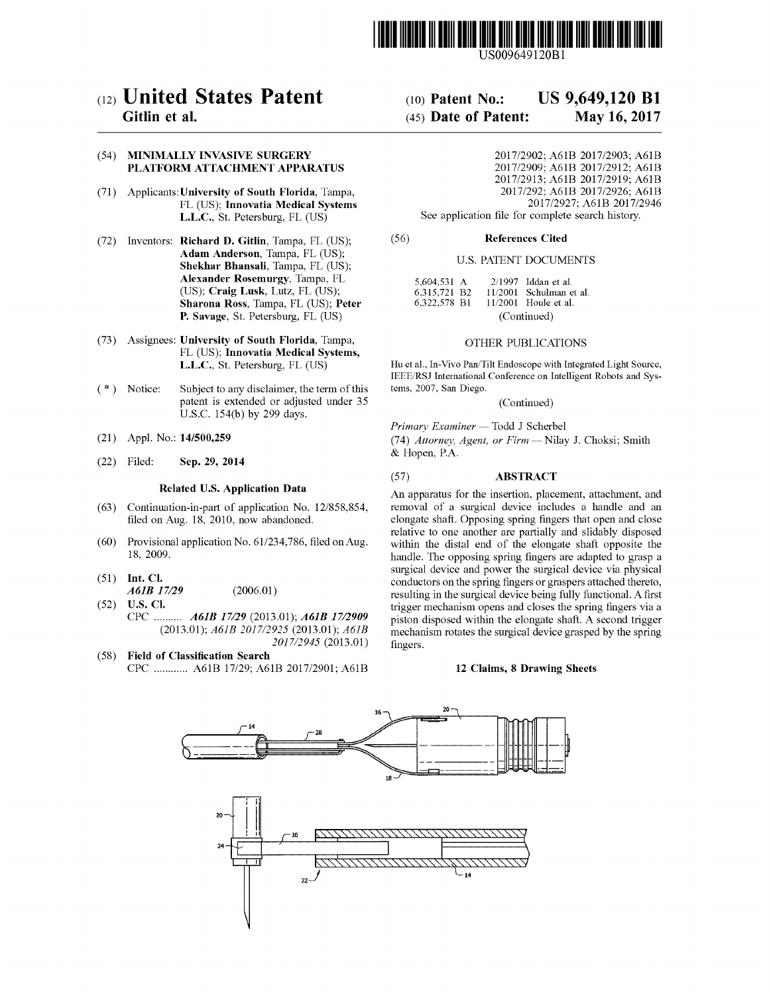

US009649120Bl

# (12) **United States Patent**

# Gitlin et al.

#### (54) MINIMALLY INVASIVE SURGERY PLATFORM ATTACHMENT APPARATUS

- (71) Applicants:University of South Florida, Tampa, FL (US); Innovatia Medical Systems L.L.C., St. Petersburg, FL (US)
- (72) Inventors: Richard D. Gitlin, Tampa, FL (US); Adam Anderson, Tampa, FL (US); Shekhar Bhansali, Tampa, FL (US); Alexander Rosemurgy, Tampa, FL (US); Craig Lusk, Lutz, FL (US); Sharona Ross, Tampa, FL (US); Peter P. Savage, St. Petersburg, FL (US)
- (73) Assignees: University of South Florida, Tampa, FL (US); Innovatia Medical Systems, L.L.C., St. Petersburg, FL (US)
- Subject to any disclaimer, the term of this patent is extended or adjusted under 35 U.S.c. 154(b) by 299 days. ( \*) Notice:
- (21) Appl. No.: 14/500,259
- (22) Filed: Sep. 29, 2014

#### Related U.S. Application Data

- (63) Continuation-in-part of application No. 12/858,854, filed on Aug. 18, 2010, now abandoned.
- $(60)$  Provisional application No.  $61/234,786$ , filed on Aug. 18, 2009.
- (51) Int. Cl. *A61B* 17/29 (2006.01)
- (52) U.S. Cl. CPC *A61B* 17/29 (2013.01); *A61B 17/2909 (2013.01); A61B 2017/2925* (2013.01); *A61B 2017/2945 (2013.01)*
- (58) Field of Classification Search CPC ............ A61B 17/29; A61B 2017/2901; A61B

#### (10) Patent No.: (45) Date of Patent: US 9,649,120 **Bl** May 16, 2017

2017/2902; A61B 2017/2903; A61B 2017/2909; A61B 2017/2912; A61B 2017/2913; A61B 2017/2919; A61B 2017/292; A61B 2017/2926; A61B 2017/2927; A61B 2017/2946 See application file for complete search history.

#### References Cited (56)

#### U.S. PATENT DOCUMENTS

| 5.604.531 A  |             | $2/1997$ Iddan et al.     |
|--------------|-------------|---------------------------|
| 6.315.721 B2 |             | $11/2001$ Schulman et al. |
| 6.322.578 B1 |             | $11/2001$ Houle et al.    |
|              | (Continued) |                           |

#### OTHER PUBLICATIONS

Hu et aI., In-Vivo Pan/Tilt Endoscope with Integrated Light Source, IEEE/RSJ International Conference on Intelligent Robots and Systems, 2007, San Diego.

(Continued)

*Primary Examiner* - Todd J Scherbel *(74) Attorney, Agent, or Firm* - Nilay J. Choksi; Smith & Hopen, P.A.

#### (57) ABSTRACT

An apparatus for the insertion, placement, attachment, and removal of a surgical device includes a handle and an elongate shaft. Opposing spring fingers that open and close relative to one another are partially and slidably disposed within the distal end of the elongate shaft opposite the handle. The opposing spring fingers are adapted to grasp a surgical device and power the surgical device via physical conductors on the spring fingers or graspers attached thereto, resulting in the surgical device being fully functional. A first trigger mechanism opens and closes the spring fingers via a piston disposed within the elongate shaft. A second trigger mechanism rotates the surgical device grasped by the spring fingers.

#### 12 Claims, 8 Drawing Sheets

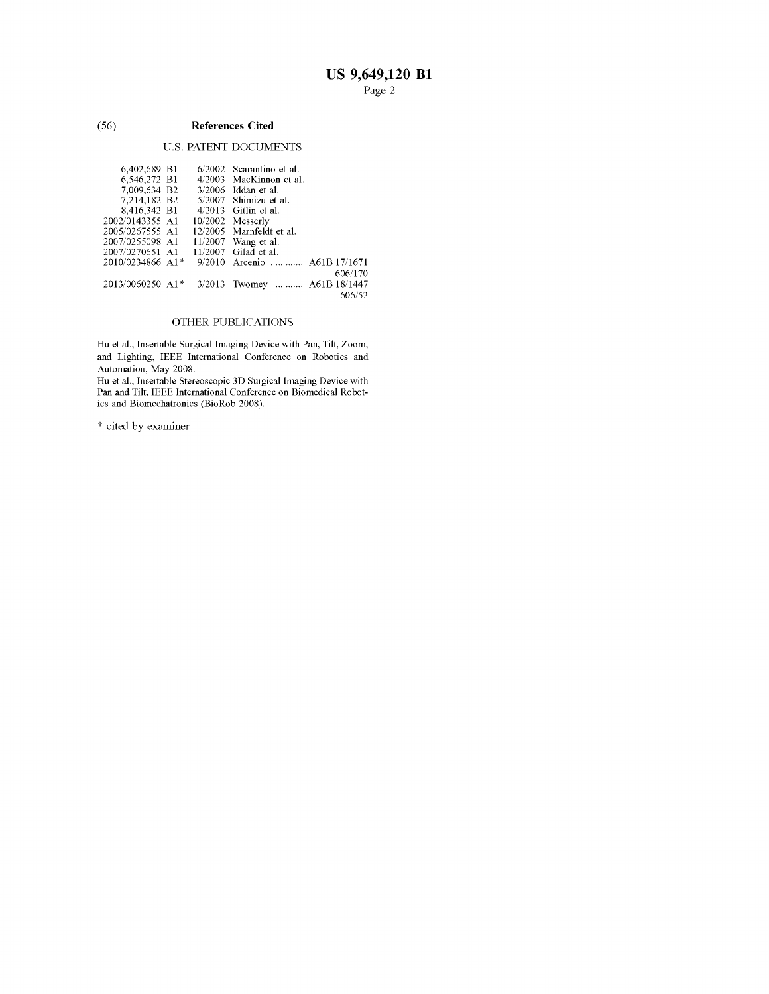## (56) **References Cited**

## u.s. PATENT DOCUMENTS

| 6.402.689 B1                   |        | 6/2002 Scarantino et al.     |
|--------------------------------|--------|------------------------------|
| 6,546,272 B1                   |        | 4/2003 MacKinnon et al.      |
| 7.009.634 B2                   |        | $3/2006$ Iddan et al.        |
| 7.214.182 B2                   |        | 5/2007 Shimizu et al.        |
| 8,416,342 B1                   |        | $4/2013$ Gitlin et al.       |
| 2002/0143355 A1                |        | $10/2002$ Messerly           |
| 2005/0267555 A1                |        | 12/2005 Marnfeldt et al.     |
| 2007/0255098 A1                |        | $11/2007$ Wang et al.        |
| 2007/0270651 A1                |        | $11/2007$ Gilad et al.       |
| 2010/0234866 A1*               |        | 9/2010 Arcenio  A61B 17/1671 |
|                                |        | 606/170                      |
| $2013/0060250$ A1 <sup>*</sup> | 3/2013 | Twomey  A61B 18/1447         |
|                                |        | 606/52                       |

## OTHER PUBLICATIONS

Hu et aI., Insertable Surgical Imaging Device with Pan, Tilt, Zoom, and Lighting, IEEE International Conference on Robotics and Automation, May 2008.

Hu et aI., Insertable Stereoscopic 3D Surgical Imaging Device with Pan and Tilt, IEEE International Conference on Biomedical Robotics and Biomechatronics (BioRob 2008).

\* cited by examiner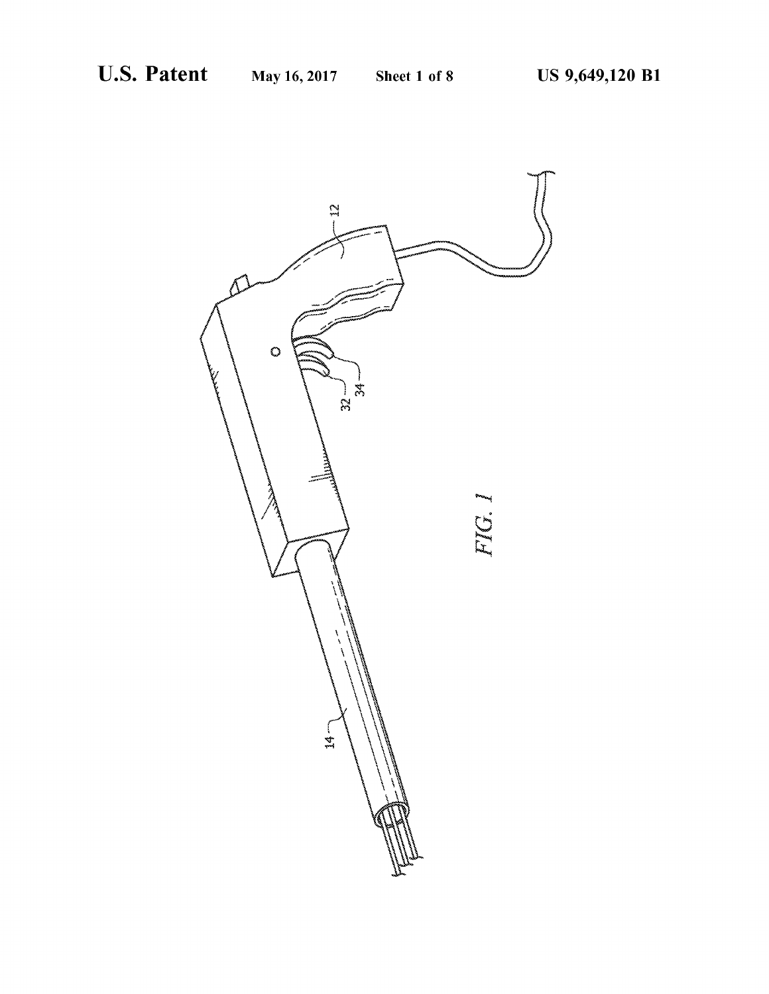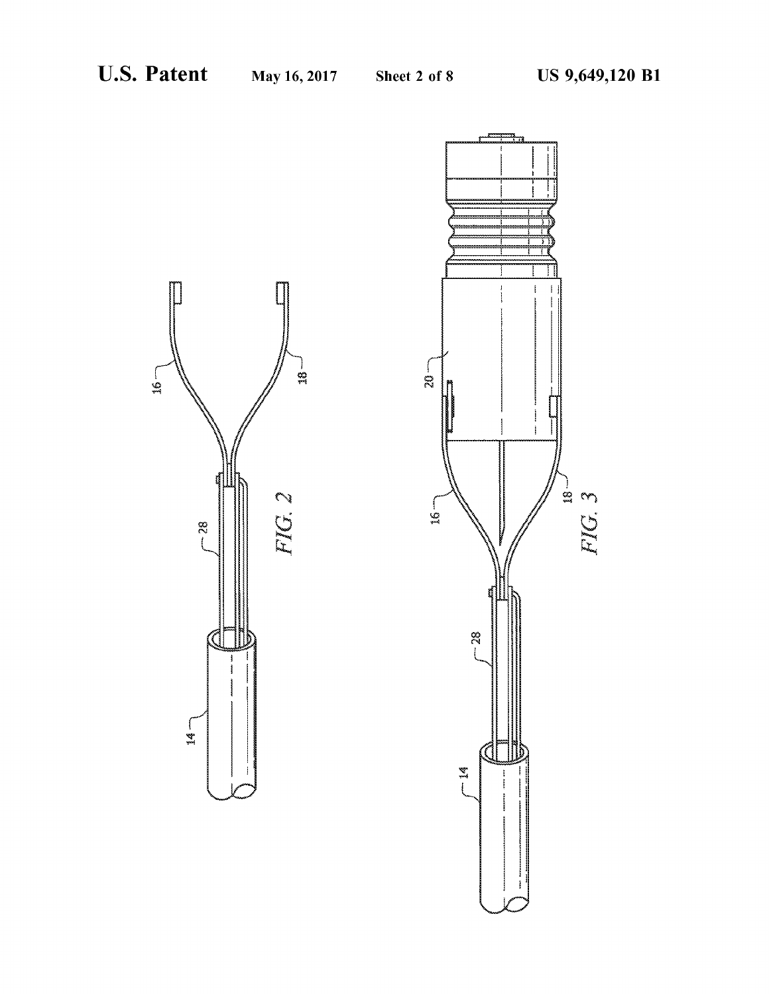

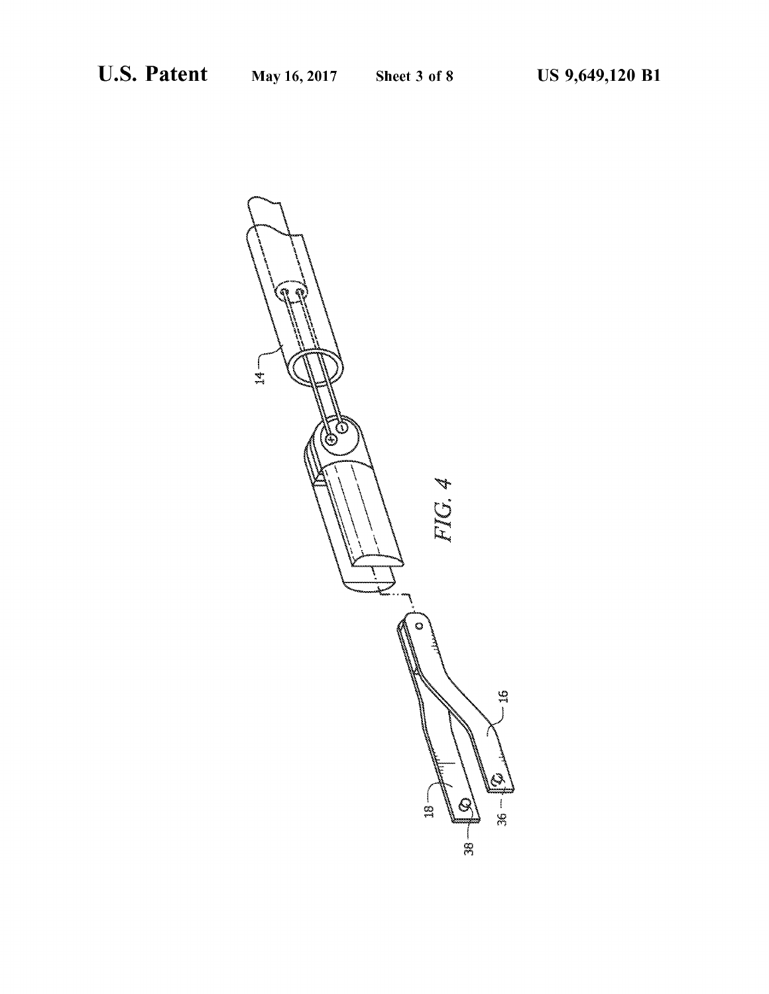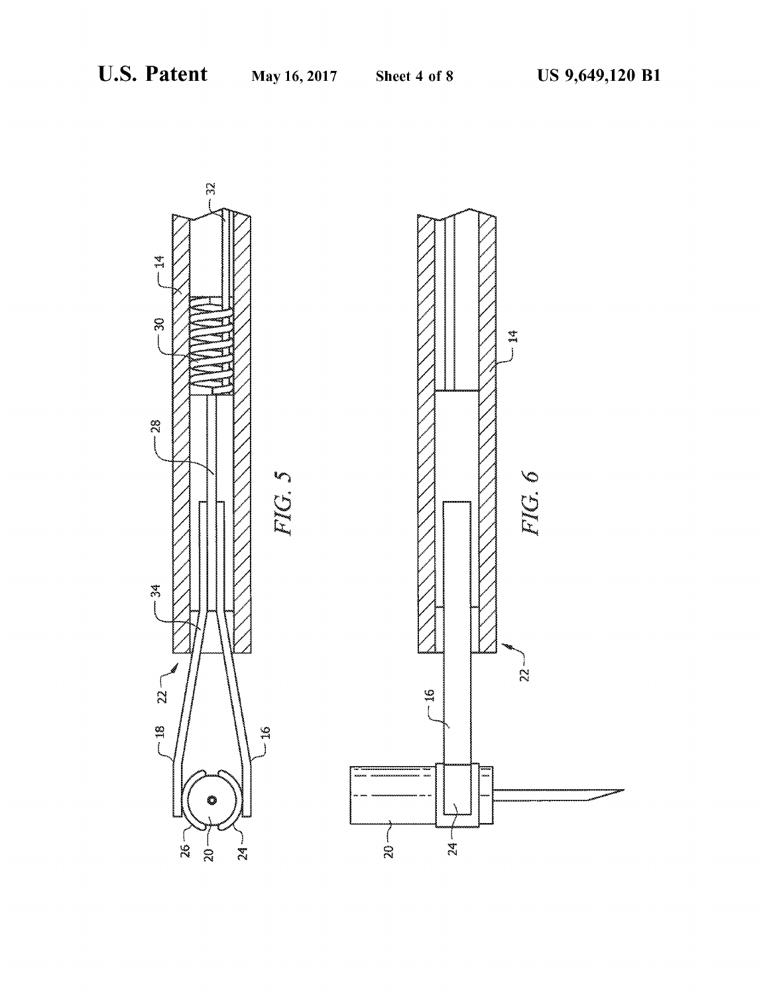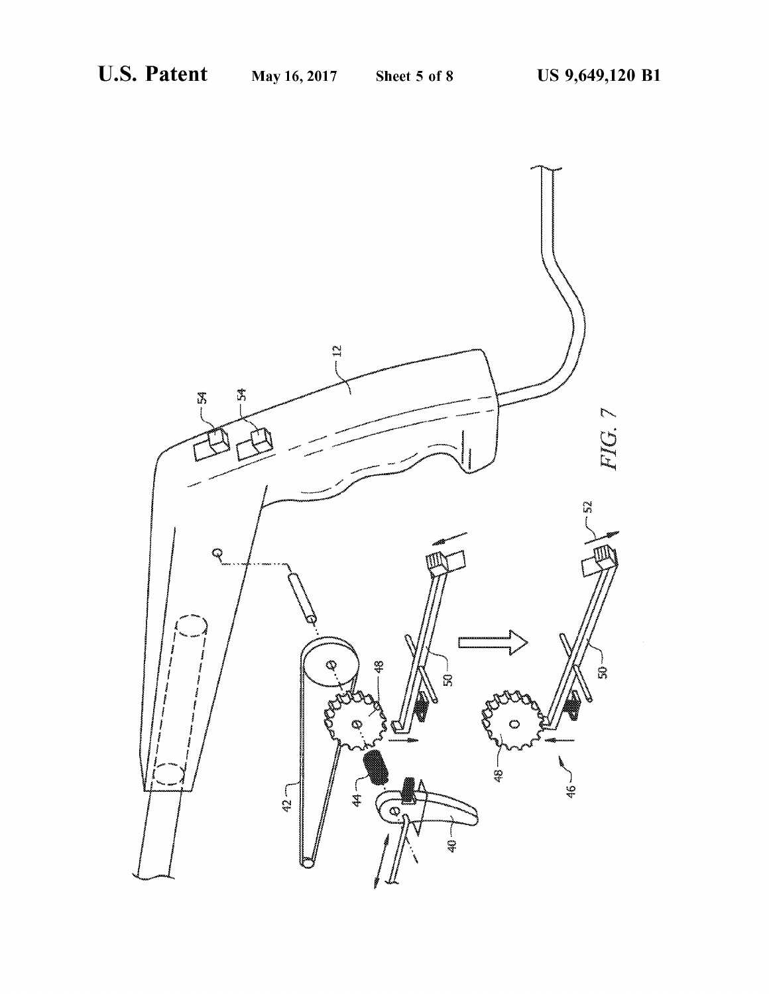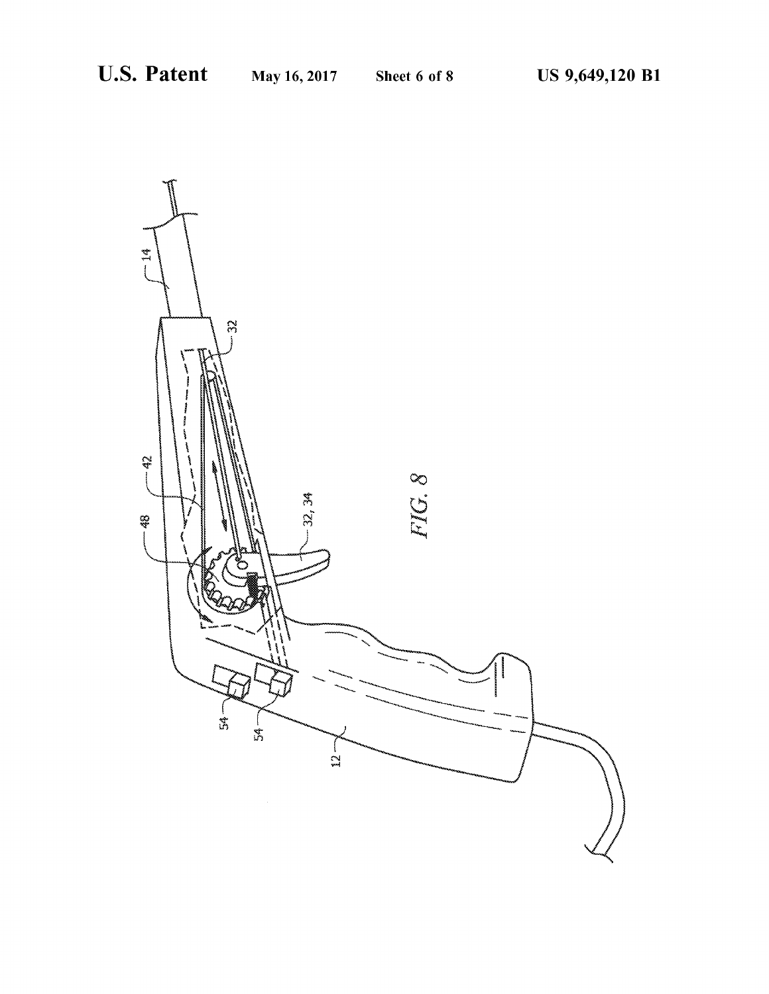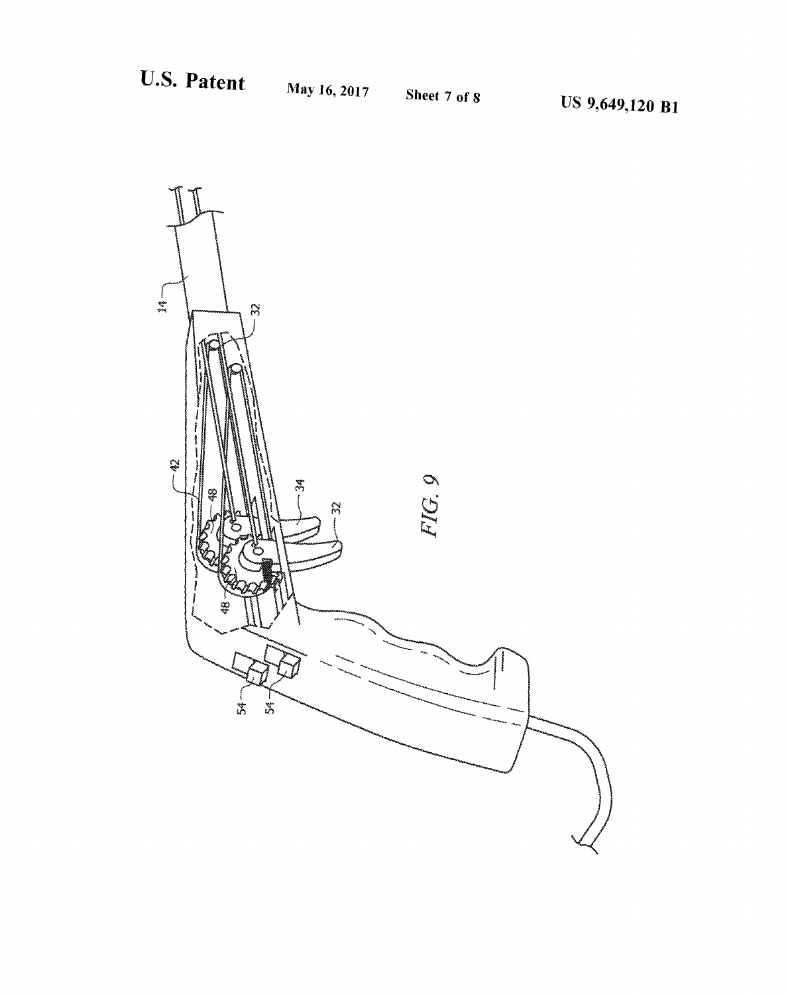<sup>8</sup> US 9,649,120 **Bl**

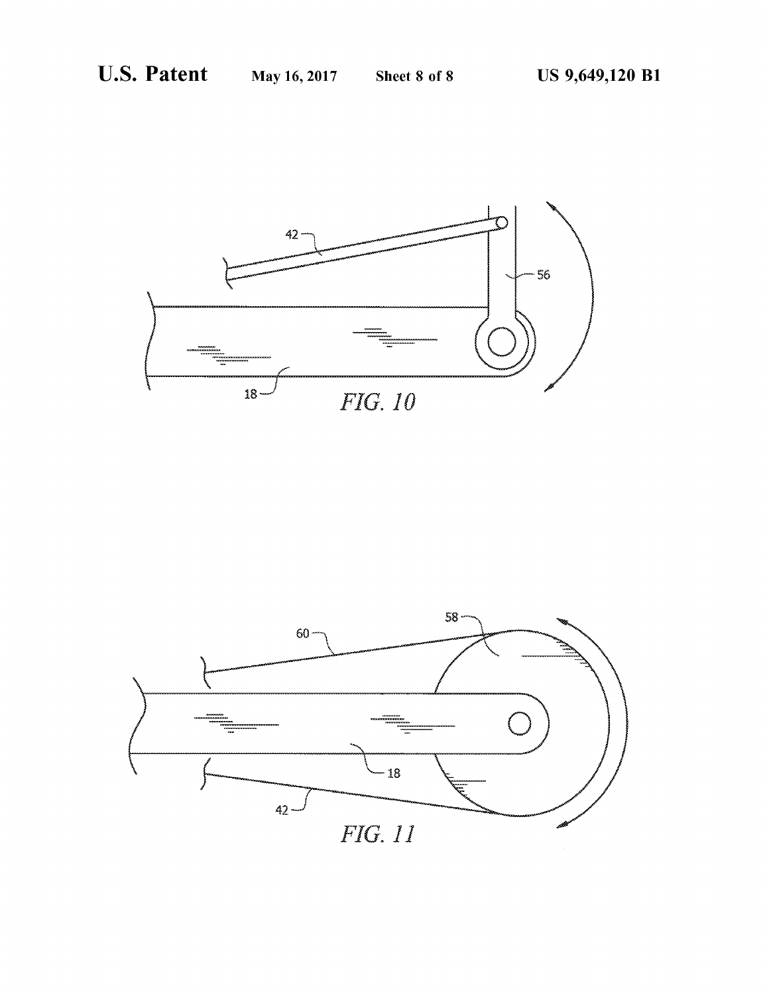

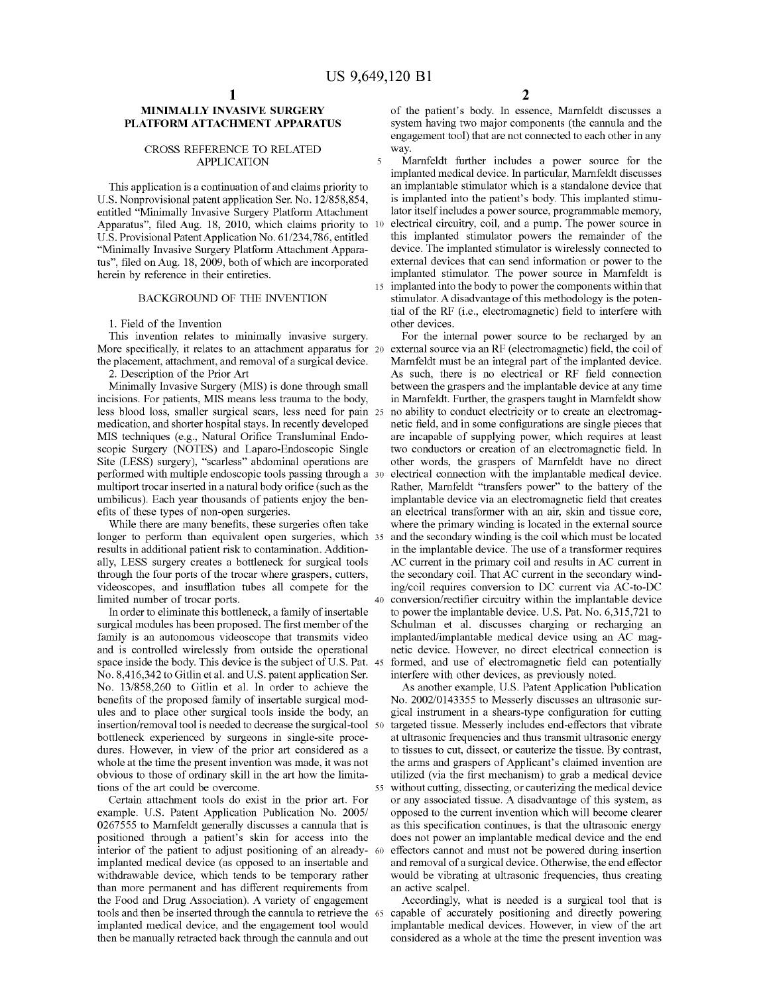$\overline{5}$ 

#### **MINIMALLY INVASIVE SURGERY PLATFORM ATTACHMENT APPARATUS**

#### CROSS REFERENCE TO RELATED APPLICATION

This application is a continuation of and claims priority to U.S. Nonprovisional patent application Ser. No. 12/858,854, entitled "Minimally Invasive Surgery Platform Attachment Apparatus", filed Aug. 18, 2010, which claims priority to 10 U.S. Provisional Patent Application No. 61/234,786, entitled "Minimally Invasive Surgery Platform Attachment Apparatus", filed on Aug. 18,2009, both of which are incorporated herein by reference in their entireties.

#### BACKGROUND OF THE INVENTION

1. Field of the Invention

This invention relates to minimally invasive surgery. More specifically, it relates to an attachment apparatus for 20 the placement, attachment, and removal of a surgical device.

2. Description of the Prior Art

Minimally Invasive Surgery (MIS) is done through small incisions. For patients, MIS means less trauma to the body, less blood loss, smaller surgical scars, less need for pain medication, and shorter hospital stays. In recently developed MIS techniques (e.g., Natural Orifice Transluminal Endoscopic Surgery (NOTES) and Laparo-Endoscopic Single Site (LESS) surgery), "scarless" abdominal operations are performed with multiple endoscopic tools passing through a multiport trocar inserted in a natural body orifice (such as the umbilicus). Each year thousands of patients enjoy the benefits of these types of non-open surgeries.

While there are many benefits, these surgeries often take longer to perform than equivalent open surgeries, which 35 results in additional patient risk to contamination. Additionally, LESS surgery creates a bottleneck for surgical tools through the four ports of the trocar where graspers, cutters, videoscopes, and insufflation tubes all compete for the limited number of trocar ports.

In order to eliminate this bottleneck, a family of insertable surgical modules has been proposed. The first member of the family is an autonomous videoscope that transmits video and is controlled wirelessly from outside the operational space inside the body. This device is the subject of U.S. Pat. No. 8,416,342 to Gitlin et al. and U.S. patent application Ser. No. 13/858,260 to Gitlin et al. In order to achieve the benefits of the proposed family of insertable surgical modules and to place other surgical tools inside the body, an insertion/removal tool is needed to decrease the surgical-tool bottleneck experienced by surgeons in single-site procedures. However, in view of the prior art considered as a whole at the time the present invention was made, it was not obvious to those of ordinary skill in the art how the limitations of the art could be overcome.

Certain attachment tools do exist in the prior art. For example. U.S. Patent Application Publication No. 2005/ 0267555 to Mamfeldt generally discusses a cannula that is positioned through a patient's skin for access into the interior of the patient to adjust positioning of an alreadyimplanted medical device (as opposed to an insertable and withdrawable device, which tends to be temporary rather than more permanent and has different requirements from the Food and Drug Association). A variety of engagement tools and then be inserted through the cannula to retrieve the 65 implanted medical device, and the engagement tool would then be manually retracted back through the cannula and out

of the patient's body. In essence, Mamfeldt discusses a system having two major components (the cannula and the engagement tool) that are not connected to each other in any way.

Marnfeldt further includes a power source for the implanted medical device. In particular, Mamfeldt discusses an implantable stimulator which is a standalone device that is implanted into the patient's body. This implanted stimulator itself includes a power source, programmable memory, electrical circuitry, coil, and a pump. The power source in this implanted stimulator powers the remainder of the device. The implanted stimulator is wirelessly connected to external devices that can send information or power to the implanted stimulator. The power source in Mamfeldt is 15 implanted into the body to power the components within that stimulator. A disadvantage of this methodology is the potential of the RF (i.e., electromagnetic) field to interfere with other devices.

For the intemal power source to be recharged by an external source via an RF (electromagnetic) field, the coil of Mamfeldt must be an integral part of the implanted device. As such, there is no electrical or RF field connection between the graspers and the implantable device at any time in Mamfeldt. Further, the graspers taught in Mamfeldt show no ability to conduct electricity or to create an electromagnetic field, and in some configurations are single pieces that are incapable of supplying power, which requires at least two conductors or creation of an electromagnetic field. In other words, the graspers of Marnfeldt have no direct electrical connection with the implantable medical device. Rather, Mamfeldt "transfers power" to the battery of the implantable device via an electromagnetic field that creates an electrical transformer with an air, skin and tissue core, where the primary winding is located in the extemal source and the secondary winding is the coil which must be located in the implantable device. The use of a transformer requires AC current in the primary coil and results in AC current in the secondary coil. That AC current in the secondary winding/coil requires conversion to DC current via AC-to-DC 40 conversion/rectifier circuitry within the implantable device to power the implantable device. U.S. Pat. No. 6,315,721 to Schulman et al. discusses charging or recharging an implanted/implantable medical device using an AC magnetic device. However, no direct electrical connection is formed, and use of electromagnetic field can potentially interfere with other devices, as previously noted.

As another example, U.S. Patent Application Publication No. 2002/0143355 to Messerly discusses an ultrasonic surgical instrument in a shears-type configuration for cutting targeted tissue. Messerly includes end-effectors that vibrate at ultrasonic frequencies and thus transmit ultrasonic energy to tissues to cut, dissect, or cauterize the tissue. By contrast, the arms and graspers of Applicant's claimed invention are utilized (via the first mechanism) to grab a medical device 55 without cutting, dissecting, or cauterizing the medical device or any associated tissue. A disadvantage of this system, as opposed to the current invention which will become clearer as this specification continues, is that the ultrasonic energy does not power an implantable medical device and the end effectors cannot and must not be powered during insertion and removal of a surgical device. Otherwise, the end effector would be vibrating at ultrasonic frequencies, thus creating an active scalpel.

Accordingly, what is needed is a surgical tool that is capable of accurately positioning and directly powering implantable medical devices. However, in view of the art considered as a whole at the time the present invention was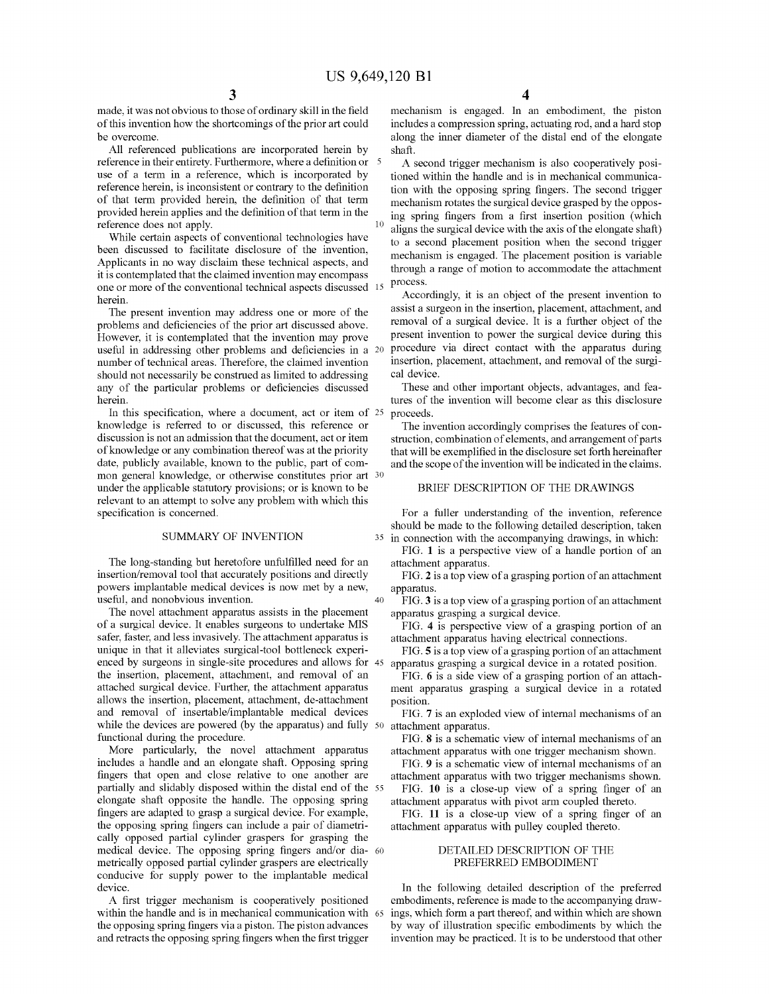40

made, it was not obvious to those of ordinary skill in the field of this invention how the shortcomings of the prior art could be overcome.

All referenced publications are incorporated herein by reference in their entirety. Furthermore, where a definition or use of a term in a reference, which is incorporated by reference herein, is inconsistent or contrary to the definition of that term provided herein, the definition of that tenn provided herein applies and the definition of that term in the reference does not apply.

While certain aspects of conventional technologies have been discussed to facilitate disclosure of the invention, Applicants in no way disclaim these technical aspects, and it is contemplated that the claimed invention may encompass one or more of the conventional technical aspects discussed 15 herein.

The present invention may address one or more of the problems and deficiencies of the prior art discussed above. However, it is contemplated that the invention may prove useful in addressing other problems and deficiencies in a 20 number of technical areas. Therefore, the claimed invention should not necessarily be construed as limited to addressing any of the particular problems or deficiencies discussed herein.

In this specification, where a document, act or item of <sup>25</sup> knowledge is referred to or discussed, this reference or discussion is not an admission that the document, act or item ofknowledge or any combination thereof was at the priority date, publicly available, known to the public, part of common general knowledge, or otherwise constitutes prior art 30 under the applicable statutory provisions; or is known to be relevant to an attempt to solve any problem with which this specification is concerned.

#### SUMMARY OF INVENTION

The long-standing but heretofore unfulfilled need for an insertion/removal tool that accurately positions and directly powers implantable medical devices is now met by a new, useful, and nonobvious invention.

The novel attachment apparatus assists in the placement of a surgical device. It enables surgeons to undertake MIS safer, faster, and less invasively. The attachment apparatus is unique in that it alleviates surgical-tool bottleneck experienced by surgeons in single-site procedures and allows for the insertion, placement, attachment, and removal of an attached surgical device. Further, the attachment apparatus allows the insertion, placement, attachment, de-attachment and removal of insertable/implantable medical devices while the devices are powered (by the apparatus) and fully 50 functional during the procedure.

More particularly, the novel attachment apparatus includes a handle and an elongate shaft. Opposing spring fingers that open and close relative to one another are partially and slidably disposed within the distal end of the <sup>55</sup> elongate shaft opposite the handle. The opposing spring fingers are adapted to grasp a surgical device. For example, the opposing spring fingers can include a pair of diametrically opposed partial cylinder graspers for grasping the medical device. The opposing spring fingers and/or dia- 60 metrically opposed partial cylinder graspers are electrically conducive for supply power to the implantable medical device.

A first trigger mechanism is cooperatively positioned within the handle and is in mechanical communication with 65 the opposing spring fingers via a piston. The piston advances and retracts the opposing spring fingers when the first trigger

mechanism is engaged. In an embodiment, the piston includes a compression spring, actuating rod, and a hard stop along the inner diameter of the distal end of the elongate shaft.

A second trigger mechanism is also cooperatively positioned within the handle and is in mechanical communication with the opposing spring fingers. The second trigger mechanism rotates the surgical device grasped by the opposing spring fingers from a first insertion position (which  $10$  aligns the surgical device with the axis of the elongate shaft) to a second placement position when the second trigger mechanism is engaged. The placement position is variable through a range of motion to accommodate the attachment process.

Accordingly, it is an object of the present invention to assist a surgeon in the insertion, placement, attachment, and removal of a surgical device. It is a further object of the present invention to power the surgical device during this procedure via direct contact with the apparatus during insertion, placement, attachment, and removal of the surgical device.

These and other important objects, advantages, and features of the invention will become clear as this disclosure proceeds.

The invention accordingly comprises the features of construction, combination of elements, and arrangement of parts that will be exemplified in the disclosure set forth hereinafter and the scope of the invention will be indicated in the claims.

#### BRIEF DESCRIPTION OF THE DRAWINGS

For a fuller understanding of the invention, reference should be made to the following detailed description, taken 35 in connection with the accompanying drawings, in which:

FIG. 1 is a perspective view of a handle portion of an attachment apparatus.

FIG. 2 is a top view of a grasping portion of an attachment apparatus.

FIG. 3 is a top view of a grasping portion of an attachment apparatus grasping a surgical device.

FIG. 4 is perspective view of a grasping portion of an attachment apparatus having electrical connections.

FIG. 5 is a top view of a grasping portion of an attachment apparatus grasping a surgical device in a rotated position.

FIG. 6 is a side view of a grasping portion of an attachment apparatus grasping a surgical device in a rotated position.

FIG. 7 is an exploded view of internal mechanisms of an attachment apparatus.

FIG. 8 is a schematic view of internal mechanisms of an attachment apparatus with one trigger mechanism shown.

FIG. 9 is a schematic view of internal mechanisms of an attachment apparatus with two trigger mechanisms shown.

FIG. **10** is a close-up view of a spring finger of an attachment apparatus with pivot arm coupled thereto.

FIG. 11 is a close-up view of a spring finger of an attachment apparatus with pulley coupled thereto.

#### DETAILED DESCRIPTION OF THE PREFERRED EMBODIMENT

In the following detailed description of the preferred embodiments, reference is made to the accompanying drawings, which fonn a part thereof, and within which are shown by way of illustration specific embodiments by which the invention may be practiced. It is to be understood that other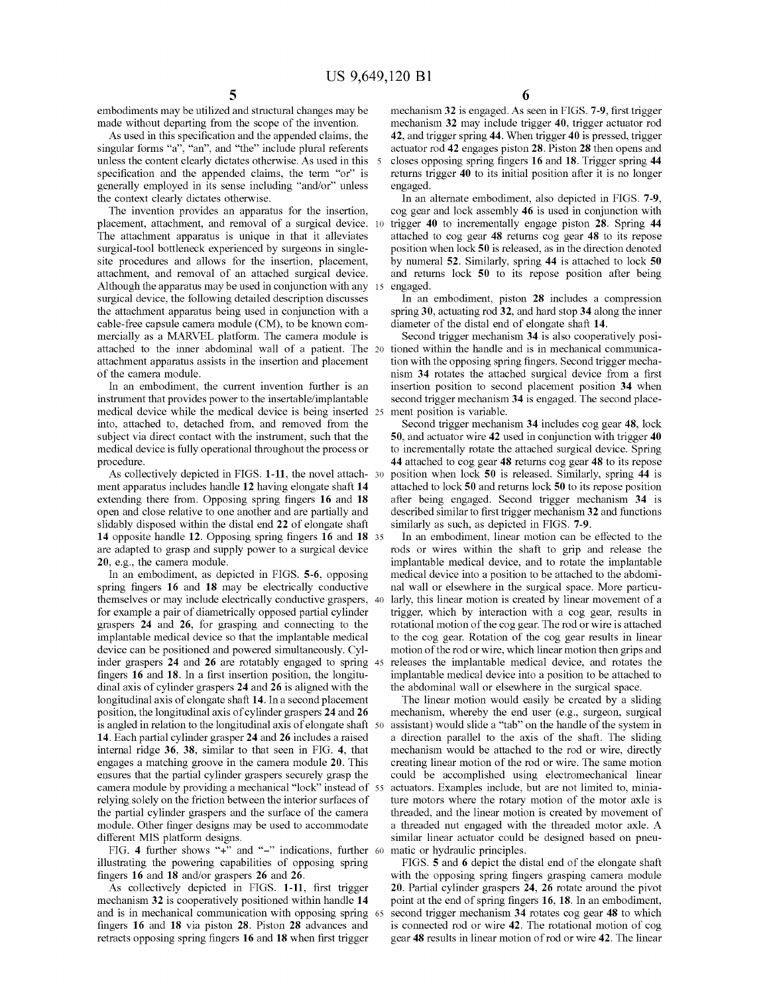embodiments may be utilized and structural changes may be made without departing from the scope of the invention.

As used in this specification and the appended claims, the singular forms "a", "an", and "the" include plural referents unless the content clearly dictates otherwise. As used in this 5 specification and the appended claims, the term "or" is generally employed in its sense including "and/or" unless the context clearly dictates otherwise.

The invention provides an apparatus for the insertion, placement, attachment, and removal of a surgical device. <sup>10</sup> The attachment apparatus is unique in that it alleviates surgical-tool bottleneck experienced by surgeons in singlesite procedures and allows for the insertion, placement, attachment, and removal of an attached surgical device. Although the apparatus may be used in conjunction with any 15 surgical device, the following detailed description discusses the attachment apparatus being used in conjunction with a cable-free capsule camera module (CM), to be known commercially as a MARVEL platform. The camera module is attached to the inner abdominal wall of a patient. The <sup>20</sup> attachment apparatus assists in the insertion and placement of the camera module.

In an embodiment, the current invention further is an instrument that provides power to the insertable/implantable medical device while the medical device is being inserted 25 into, attached to, detached from, and removed from the subject via direct contact with the instrument, such that the medical device is fully operational throughout the process or procedure.

As collectively depicted in FIGS. 1-11, the novel attach- 30 ment apparatus includes handle 12 having elongate shaft 14 extending there from. Opposing spring fingers 16 and 18 open and close relative to one another and are partially and slidably disposed within the distal end 22 of elongate shaft 14 opposite handle 12. Opposing spring fingers 16 and 18 35 are adapted to grasp and supply power to a surgical device 20, e.g., the camera module.

In an embodiment, as depicted in FIGS. 5-6, opposing spring fingers 16 and 18 may be electrically conductive themselves or may include electrically conductive graspers, 40 for example a pair of diametrically opposed partial cylinder graspers 24 and 26, for grasping and connecting to the implantable medical device so that the implantable medical device can be positioned and powered simultaneously. Cylinder graspers 24 and 26 are rotatably engaged to spring 45 fingers 16 and 18. In a first insertion position, the longitudinal axis of cylinder graspers 24 and 26 is aligned with the longitudinal axis of elongate shaft 14. In a second placement position, the longitudinal axis of cylinder graspers 24 and 26 is angled in relation to the longitudinal axis of elongate shaft 50 14. Each partial cylinder grasper 24 and 26 includes a raised internal ridge 36, 38, similar to that seen in FIG. 4, that engages a matching groove in the camera module 20. This ensures that the partial cylinder graspers securely grasp the camera module by providing a mechanical "lock" instead of <sup>55</sup> relying solely on the friction between the interior surfaces of the partial cylinder graspers and the surface of the camera module. Other finger designs may be used to accommodate different MIS platform designs.

FIG. 4 further shows "+" and "-" indications, further 60 illustrating the powering capabilities of opposing spring fingers 16 and 18 and/or graspers 26 and 26.

As collectively depicted in FIGS. 1-11, first trigger mechanism 32 is cooperatively positioned within handle 14 and is in mechanical communication with opposing spring 65 fingers 16 and 18 via piston 28. Piston 28 advances and retracts opposing spring fingers 16 and 18 when first trigger

mechanism 32 is engaged. As seen in FIGS. 7-9, first trigger mechanism 32 may include trigger 40, trigger actuator rod 42, and trigger spring 44. When trigger 40 is pressed, trigger actuator rod 42 engages piston 28. Piston 28 then opens and closes opposing spring fingers 16 and 18. Trigger spring 44 returns trigger 40 to its initial position after it is no longer engaged.

In an alternate embodiment, also depicted in FIGS. 7-9, cog gear and lock assembly 46 is used in conjunction with trigger 40 to incrementally engage piston 28. Spring 44 attached to cog gear 48 returns cog gear 48 to its repose position when lock 50 is released, as in the direction denoted by numeral 52. Similarly, spring 44 is attached to lock 50 and returns lock 50 to its repose position after being engaged.

In an embodiment, piston 28 includes a compression spring 30, actuating rod 32, and hard stop 34 along the inner diameter of the distal end of elongate shaft 14.

Second trigger mechanism 34 is also cooperatively positioned within the handle and is in mechanical communication with the opposing spring fingers. Second trigger mechanism 34 rotates the attached surgical device from a first insertion position to second placement position 34 when second trigger mechanism 34 is engaged. The second placement position is variable.

Second trigger mechanism 34 includes cog gear 48, lock 50, and actuator wire 42 used in conjunction with trigger 40 to incrementally rotate the attached surgical device. Spring 44 attached to cog gear 48 returns cog gear 48 to its repose position when lock 50 is released. Similarly, spring 44 is attached to lock 50 and returns lock 50 to its repose position after being engaged. Second trigger mechanism 34 is described similar to first trigger mechanism 32 and functions similarly as such, as depicted in FIGS. 7-9.

In an embodiment, linear motion can be effected to the rods or wires within the shaft to grip and release the implantable medical device, and to rotate the implantable medical device into a position to be attached to the abdominal wall or elsewhere in the surgical space. More particularly, this linear motion is created by linear movement of a trigger, which by interaction with a cog gear, results in rotational motion of the cog gear. The rod or wire is attached to the cog gear. Rotation of the cog gear results in linear motion of the rod or wire, which linear motion then grips and releases the implantable medical device, and rotates the implantable medical device into a position to be attached to the abdominal wall or elsewhere in the surgical space.

The linear motion would easily be created by a sliding mechanism, whereby the end user (e.g., surgeon, surgical assistant) would slide a "tab" on the handle of the system in a direction parallel to the axis of the shaft. The sliding mechanism would be attached to the rod or wire, directly creating linear motion of the rod or wire. The same motion could be accomplished using electromechanical linear actuators. Examples include, but are not limited to, miniature motors where the rotary motion of the motor axle is threaded, and the linear motion is created by movement of a threaded nut engaged with the threaded motor axle. A similar linear actuator could be designed based on pneumatic or hydraulic principles.

FIGS. 5 and 6 depict the distal end of the elongate shaft with the opposing spring fingers grasping camera module 20. Partial cylinder graspers 24, 26 rotate around the pivot point at the end of spring fingers 16, 18. In an embodiment, second trigger mechanism 34 rotates cog gear 48 to which is connected rod or wire 42. The rotational motion of cog gear 48 results in linear motion of rod or wire 42. The linear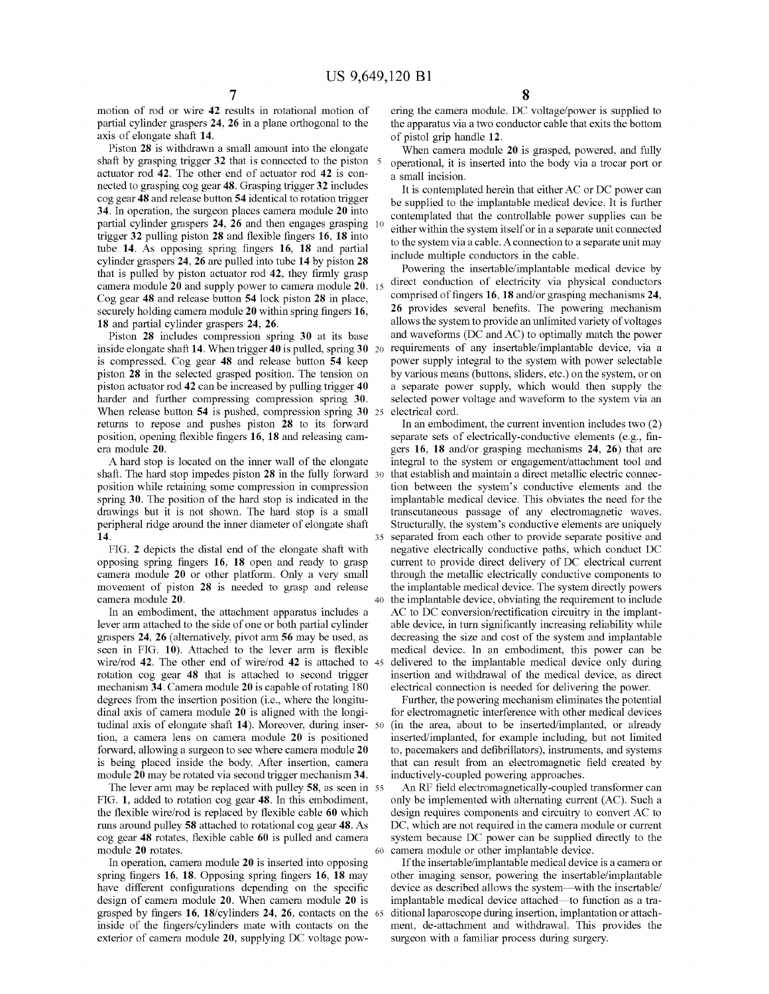motion of rod or wire 42 results in rotational motion of partial cylinder graspers 24, 26 in a plane orthogonal to the axis of elongate shaft 14.

Piston 28 is withdrawn a small amount into the elongate shaft by grasping trigger 32 that is connected to the piston 5 actuator rod 42. The other end of actuator rod 42 is connected to grasping cog gear 48. Grasping trigger 32 includes cog gear 48 and release button 54 identical to rotation trigger 34. In operation, the surgeon places camera module 20 into partial cylinder graspers 24, 26 and then engages grasping trigger 32 pulling piston 28 and flexible fingers 16, 18 into tube 14. As opposing spring fingers 16, 18 and partial cylinder graspers 24, 26 are pulled into tube 14 by piston 28 that is pulled by piston actuator rod 42, they firmly grasp camera module 20 and supply power to camera module 20. Cog gear 48 and release button 54 lock piston 28 in place, securely holding camera module 20 within spring fingers 16, 18 and partial cylinder graspers 24, 26.

Piston 28 includes compression spring 30 at its base inside elongate shaft 14. When trigger 40 is pulled, spring 30 20 is compressed. Cog gear 48 and release button 54 keep piston 28 in the selected grasped position. The tension on piston actuator rod 42 can be increased by pulling trigger 40 harder and further compressing compression spring 30. When release button 54 is pushed, compression spring 30 25 returns to repose and pushes piston 28 to its forward position, opening flexible fingers 16, 18 and releasing camera module 20.

A hard stop is located on the inner wall of the elongate shaft. The hard stop impedes piston 28 in the fully forward 30 position while retaining some compression in compression spring 30. The position of the hard stop is indicated in the drawings but it is not shown. The hard stop is a small peripheral ridge around the inner diameter of elongate shaft 14.

FIG. 2 depicts the distal end of the elongate shaft with opposing spring fingers 16, 18 open and ready to grasp camera module 20 or other platform. Only a very small movement of piston 28 is needed to grasp and release camera module 20.

In an embodiment, the attachment apparatus includes a lever arm attached to the side of one or both partial cylinder graspers 24, 26 (alternatively, pivot arm 56 may be used, as seen in FIG. 10). Attached to the lever arm is flexible wire/rod 42. The other end of wire/rod 42 is attached to 45 rotation cog gear 48 that is attached to second trigger mechanism  $34$ . Camera module  $20$  is capable of rotating 180 degrees from the insertion position (i.e., where the longitudinal axis of camera module 20 is aligned with the longitudinal axis of elongate shaft 14). Moreover, during insertion, a camera lens on camera module 20 is positioned forward, allowing a surgeon to see where camera module 20 is being placed inside the body. After insertion, camera module 20 may be rotated via second trigger mechanism 34.

The lever arm may be replaced with pulley 58, as seen in 55 FIG. 1, added to rotation cog gear 48. In this embodiment, the flexible wire/rod is replaced by flexible cable 60 which runs around pulley 58 attached to rotational cog gear 48. As cog gear 48 rotates, flexible cable 60 is pulled and camera module 20 rotates.

In operation, camera module 20 is inserted into opposing spring fingers 16, 18. Opposing spring fingers 16, 18 may have different configurations depending on the specific design of camera module 20. When camera module 20 is grasped by fingers 16, 18/cylinders 24, 26, contacts on the 65 inside of the fingers/cylinders mate with contacts on the exterior of camera module 20, supplying DC voltage pow-

ering the camera module. DC voltage/power is supplied to the apparatus via a two conductor cable that exits the bottom of pistol grip handle 12.

When camera module 20 is grasped, powered, and fully operational, it is inserted into the body via a trocar port or a small incision.

It is contemplated herein that either AC or DC power can be supplied to the implantable medical device. It is further contemplated that the controllable power supplies can be either within the system itself or in a separate unit connected to the system via a cable. A connection to a separate unit may include multiple conductors in the cable.

Powering the insertable/implantable medical device by direct conduction of electricity via physical conductors comprised of fingers 16, 18 and/or grasping mechanisms 24, 26 provides several benefits. The powering mechanism allows the system to provide an unlimited variety of voltages and waveforms (DC and AC) to optimally match the power requirements of any insertable/implantable device, via a power supply integral to the system with power selectable by various means (buttons, sliders, etc.) on the system, or on a separate power supply, which would then supply the selected power voltage and waveform to the system via an electrical cord.

In an embodiment, the current invention includes two (2) separate sets of electrically-conductive elements (e.g., fingers 16, 18 and/or grasping mechanisms 24, 26) that are integral to the system or engagement/attachment tool and that establish and maintain a direct metallic electric connection between the system's conductive elements and the implantable medical device. This obviates the need for the transcutaneous passage of any electromagnetic waves. Structurally, the system's conductive elements are uniquely separated from each other to provide separate positive and negative electrically conductive paths, which conduct DC current to provide direct delivery of DC electrical current through the metallic electrically conductive components to the implantable medical device. The system directly powers 40 the implantable device, obviating the requirement to include AC to DC conversion/rectification circuitry in the implantable device, in turn significantly increasing reliability while decreasing the size and cost of the system and implantable medical device. In an embodiment, this power can be delivered to the implantable medical device only during insertion and withdrawal of the medical device, as direct electrical connection is needed for delivering the power.

Further, the powering mechanism eliminates the potential for electromagnetic interference with other medical devices 50 (in the area, about to be inserted/implanted, or already inserted/implanted, for example including, but not limited to, pacemakers and defibrillators), instruments, and systems that can result from an electromagnetic field created by inductively-coupled powering approaches.

An RF field electromagnetically-coupled transformer can only be implemented with alternating current (AC). Such a design requires components and circuitry to convert AC to DC, which are not required in the camera module or current system because DC power can be supplied directly to the 60 camera module or other implantable device.

If the insertable/implantable medical device is a camera or other imaging sensor, powering the insertable/implantable device as described allows the system—with the insertable/ implantable medical device attached—to function as a traditional laparoscope during insertion, implantation or attachment, de-attachment and withdrawal. This provides the surgeon with a familiar process during surgery.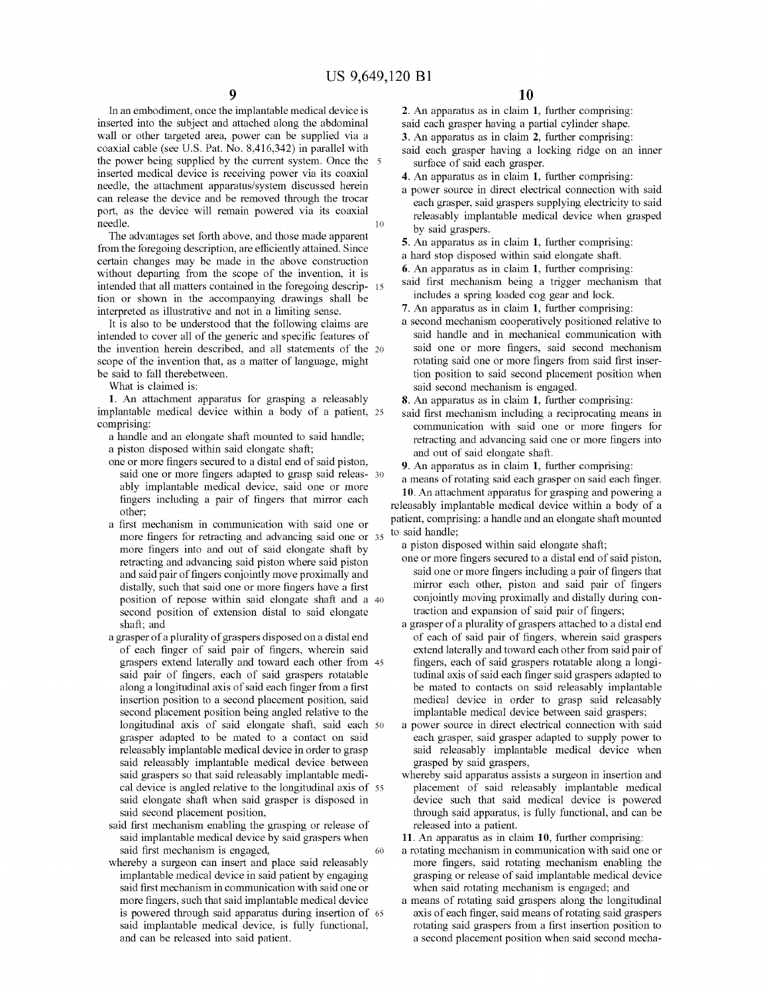10 In an embodiment, once the implantable medical device is inserted into the subject and attached along the abdominal wall or other targeted area, power can be supplied via a coaxial cable (see U.S. Pat. No. 8,416,342) in parallel with the power being supplied by the current system. Once the 5 inserted medical device is receiving power via its coaxial needle, the attachment apparatus/system discussed herein can release the device and be removed through the trocar port, as the device will remain powered via its coaxial needle.

The advantages set forth above, and those made apparent from the foregoing description, are efficiently attained. Since certain changes may be made in the above construction without departing from the scope of the invention, it is intended that all matters contained in the foregoing descrip- 15 tion or shown in the accompanying drawings shall be interpreted as illustrative and not in a limiting sense.

It is also to be understood that the following claims are intended to cover all of the generic and specific features of the invention herein described, and all statements of the <sup>20</sup> scope of the invention that, as a matter of language, might be said to fall therebetween.

What is claimed is:

1. An attachment apparatus for grasping a releasably implantable medical device within a body of a patient, <sup>25</sup> comprising:

a handle and an elongate shaft mounted to said handle; a piston disposed within said elongate shaft;

- one or more fingers secured to a distal end of said piston, said one or more fingers adapted to grasp said releas- 30 ably implantable medical device, said one or more fingers including a pair of fingers that mirror each other;
- a first mechanism in communication with said one or more fingers for retracting and advancing said one or more fingers into and out of said elongate shaft by retracting and advancing said piston where said piston and said pair of fingers conjointly move proximally and distally, such that said one or more fingers have a first position of repose within said elongate shaft and a <sup>40</sup> second position of extension distal to said elongate shaft; and
- a grasper of a plurality of graspers disposed on a distal end of each finger of said pair of fingers, wherein said graspers extend laterally and toward each other from 45 said pair of fingers, each of said graspers rotatable along a longitudinal axis of said each finger from a first insertion position to a second placement position, said second placement position being angled relative to the longitudinal axis of said elongate shaft, said each <sup>50</sup> grasper adapted to be mated to a contact on said releasably implantable medical device in order to grasp said releasably implantable medical device between said graspers so that said releasably implantable medical device is angled relative to the longitudinal axis of <sup>55</sup> said elongate shaft when said grasper is disposed in said second placement position,
- 60 said first mechanism enabling the grasping or release of said implantable medical device by said graspers when said first mechanism is engaged,
- whereby a surgeon can insert and place said releasably implantable medical device in said patient by engaging said first mechanism in communication with said one or more fingers, such that said implantable medical device is powered through said apparatus during insertion of <sup>65</sup> said implantable medical device, is fully functional, and can be released into said patient.

9 **10**

2. An apparatus as in claim 1, further comprising: said each grasper having a partial cylinder shape.

3. An apparatus as in claim 2, further comprising:

- said each grasper having a locking ridge on an inner surface of said each grasper.
- 4. An apparatus as in claim 1, further comprising:
- a power source in direct electrical connection with said each grasper, said graspers supplying electricity to said releasably implantable medical device when grasped by said graspers.
- 5. An apparatus as in claim 1, further comprising:
- a hard stop disposed within said elongate shaft.
- 6. An apparatus as in claim 1, further comprising:
- said first mechanism being a trigger mechanism that includes a spring loaded cog gear and lock.
- 7. An apparatus as in claim 1, further comprising:
- a second mechanism cooperatively positioned relative to said handle and in mechanical communication with said one or more fingers, said second mechanism rotating said one or more fingers from said first insertion position to said second placement position when said second mechanism is engaged.

8. An apparatus as in claim 1, further comprising:

said first mechanism including a reciprocating means in communication with said one or more fingers for retracting and advancing said one or more fingers into and out of said elongate shaft.

9. An apparatus as in claim 1, further comprising:

a means of rotating said each grasper on said each finger. 10. An attachment apparatus for grasping and powering a releasably implantable medical device within a body of a patient, comprising: a handle and an elongate shaft mounted to said handle;

a piston disposed within said elongate shaft;

- one or more fingers secured to a distal end of said piston, said one or more fingers including a pair of fingers that mirror each other, piston and said pair of fingers conjointly moving proximally and distally during contraction and expansion of said pair of fingers;
- a grasper of a plurality of graspers attached to a distal end of each of said pair of fingers, wherein said graspers extend laterally and toward each other from said pair of fingers, each of said graspers rotatable along a longitudinal axis of said each finger said graspers adapted to be mated to contacts on said releasably implantable medical device in order to grasp said releasably implantable medical device between said graspers;
- a power source in direct electrical connection with said each grasper, said grasper adapted to supply power to said releasably implantable medical device when grasped by said graspers,
- whereby said apparatus assists a surgeon in insertion and placement of said releasably implantable medical device such that said medical device is powered through said apparatus, is fully functional, and can be released into a patient.

11. An apparatus as in claim 10, further comprising:

- a rotating mechanism in communication with said one or more fingers, said rotating mechanism enabling the grasping or release of said implantable medical device when said rotating mechanism is engaged; and
- a means of rotating said graspers along the longitudinal axis of each finger, said means of rotating said graspers rotating said graspers from a first insertion position to a second placement position when said second mecha-